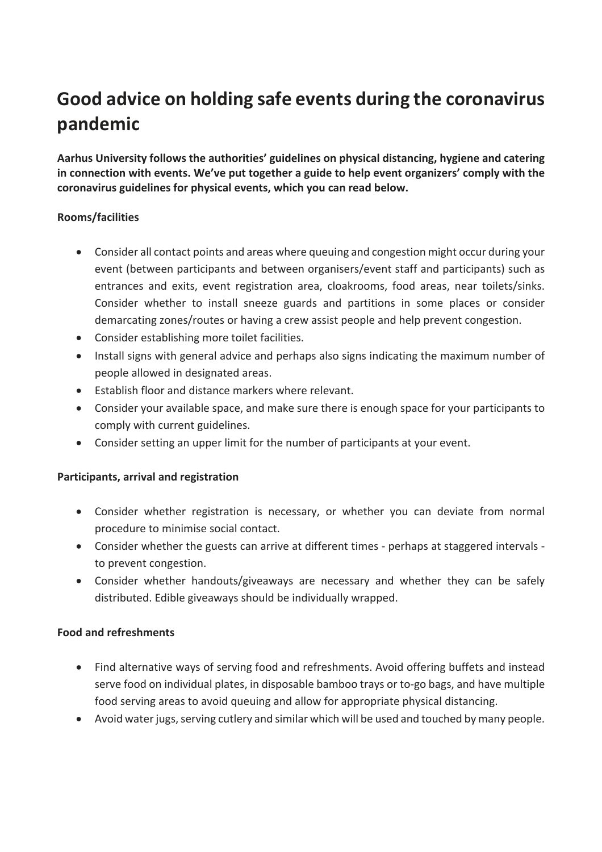# **Good advice on holding safe events during the coronavirus pandemic**

**Aarhus University follows the authorities' guidelines on physical distancing, hygiene and catering in connection with events. We've put together a guide to help event organizers' comply with the coronavirus guidelines for physical events, which you can read below.**

## **Rooms/facilities**

- Consider all contact points and areas where queuing and congestion might occur during your event (between participants and between organisers/event staff and participants) such as entrances and exits, event registration area, cloakrooms, food areas, near toilets/sinks. Consider whether to install sneeze guards and partitions in some places or consider demarcating zones/routes or having a crew assist people and help prevent congestion.
- Consider establishing more toilet facilities.
- Install signs with general advice and perhaps also signs indicating the maximum number of people allowed in designated areas.
- Establish floor and distance markers where relevant.
- Consider your available space, and make sure there is enough space for your participants to comply with current guidelines.
- Consider setting an upper limit for the number of participants at your event.

## **Participants, arrival and registration**

- Consider whether registration is necessary, or whether you can deviate from normal procedure to minimise social contact.
- Consider whether the guests can arrive at different times perhaps at staggered intervals to prevent congestion.
- Consider whether handouts/giveaways are necessary and whether they can be safely distributed. Edible giveaways should be individually wrapped.

## **Food and refreshments**

- Find alternative ways of serving food and refreshments. Avoid offering buffets and instead serve food on individual plates, in disposable bamboo trays or to-go bags, and have multiple food serving areas to avoid queuing and allow for appropriate physical distancing.
- Avoid water jugs, serving cutlery and similar which will be used and touched by many people.